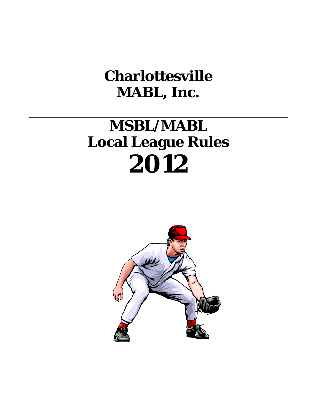# **Charlottesville MABL, Inc.**

# **MSBL/MABL Local League Rules 2012**

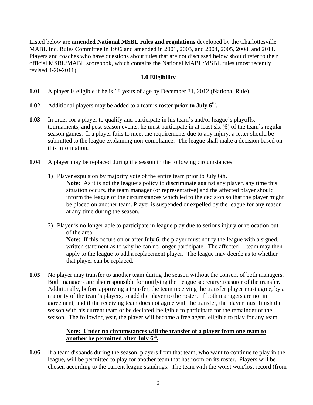Listed below are **amended National MSBL rules and regulations** developed by the Charlottesville MABL Inc. Rules Committee in 1996 and amended in 2001, 2003, and 2004, 2005, 2008, and 2011. Players and coaches who have questions about rules that are not discussed below should refer to their official MSBL/MABL scorebook, which contains the National MABL/MSBL rules (most recently revised 4-20-2011).

## **1.0 Eligibility**

- **1.01** A player is eligible if he is 18 years of age by December 31, 2012 (National Rule).
- **1.02** Additional players may be added to a team's roster **prior to July 6th.**
- **1.03** In order for a player to qualify and participate in his team's and/or league's playoffs, tournaments, and post-season events, he must participate in at least six (6) of the team's regular season games. If a player fails to meet the requirements due to any injury, a letter should be submitted to the league explaining non-compliance. The league shall make a decision based on this information.
- **1.04** A player may be replaced during the season in the following circumstances:
	- 1) Player expulsion by majority vote of the entire team prior to July 6th.

**Note:** As it is not the league's policy to discriminate against any player, any time this situation occurs, the team manager (or representative) and the affected player should inform the league of the circumstances which led to the decision so that the player might be placed on another team. Player is suspended or expelled by the league for any reason at any time during the season.

2) Player is no longer able to participate in league play due to serious injury or relocation out of the area.

**Note:** If this occurs on or after July 6, the player must notify the league with a signed, written statement as to why he can no longer participate. The affected team may then apply to the league to add a replacement player. The league may decide as to whether that player can be replaced.

**1.05** No player may transfer to another team during the season without the consent of both managers. Both managers are also responsible for notifying the League secretary/treasurer of the transfer. Additionally, before approving a transfer, the team receiving the transfer player must agree, by a majority of the team's players, to add the player to the roster. If both managers are not in agreement, and if the receiving team does not agree with the transfer, the player must finish the season with his current team or be declared ineligible to participate for the remainder of the season. The following year, the player will become a free agent, eligible to play for any team.

### **Note: Under no circumstances will the transfer of a player from one team to another be permitted after July 6<sup>th</sup>.**

**1.06** If a team disbands during the season, players from that team, who want to continue to play in the league, will be permitted to play for another team that has room on its roster. Players will be chosen according to the current league standings. The team with the worst won/lost record (from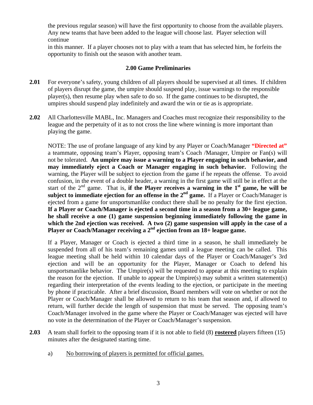the previous regular season) will have the first opportunity to choose from the available players. Any new teams that have been added to the league will choose last. Player selection will continue

in this manner. If a player chooses not to play with a team that has selected him, he forfeits the opportunity to finish out the season with another team.

#### **2.00 Game Preliminaries**

- **2.01** For everyone's safety, young children of all players should be supervised at all times. If children of players disrupt the game, the umpire should suspend play, issue warnings to the responsible player(s), then resume play when safe to do so. If the game continues to be disrupted, the umpires should suspend play indefinitely and award the win or tie as is appropriate.
- **2.02** All Charlottesville MABL, Inc. Managers and Coaches must recognize their responsibility to the league and the perpetuity of it as to not cross the line where winning is more important than playing the game.

NOTE: The use of profane language of any kind by any Player or Coach/Manager **"Directed at"** a teammate, opposing team's Player, opposing team's Coach /Manager, Umpire or Fan(s) will not be tolerated. **An umpire may issue a warning to a Player engaging in such behavior, and may immediately eject a Coach or Manager engaging in such behavior.** Following the warning, the Player will be subject to ejection from the game if he repeats the offense. To avoid confusion, in the event of a double header, a warning in the first game will still be in effect at the start of the  $2<sup>nd</sup>$  game. That is, **if the Player receives a warning in the 1<sup>st</sup> game, he will be** subject to immediate ejection for an offense in the  $2<sup>nd</sup>$  game. If a Player or Coach/Manager is ejected from a game for unsportsmanlike conduct there shall be no penalty for the first ejection. **If a Player or Coach/Manager is ejected a second time in a season from a 30+ league game, he shall receive a one (1) game suspension beginning immediately following the game in which the 2nd ejection was received. A two (2) game suspension will apply in the case of a**  Player or Coach/Manager receiving a 2<sup>nd</sup> ejection from an 18+ league game.

If a Player, Manager or Coach is ejected a third time in a season, he shall immediately be suspended from all of his team's remaining games until a league meeting can be called. This league meeting shall be held within 10 calendar days of the Player or Coach/Manager's 3rd ejection and will be an opportunity for the Player, Manager or Coach to defend his unsportsmanlike behavior. The Umpire(s) will be requested to appear at this meeting to explain the reason for the ejection. If unable to appear the Umpire(s) may submit a written statement(s) regarding their interpretation of the events leading to the ejection, or participate in the meeting by phone if practicable. After a brief discussion, Board members will vote on whether or not the Player or Coach/Manager shall be allowed to return to his team that season and, if allowed to return, will further decide the length of suspension that must be served. The opposing team's Coach/Manager involved in the game where the Player or Coach/Manager was ejected will have no vote in the determination of the Player or Coach/Manager's suspension.

- **2.03** A team shall forfeit to the opposing team if it is not able to field (8) **rostered** players fifteen (15) minutes after the designated starting time.
	- a) No borrowing of players is permitted for official games.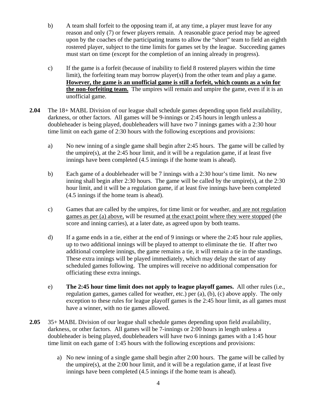- b) A team shall forfeit to the opposing team if, at any time, a player must leave for any reason and only (7) or fewer players remain. A reasonable grace period may be agreed upon by the coaches of the participating teams to allow the "short" team to field an eighth rostered player, subject to the time limits for games set by the league. Succeeding games must start on time (except for the completion of an inning already in progress).
- c) If the game is a forfeit (because of inability to field 8 rostered players within the time limit), the forfeiting team may borrow player(s) from the other team and play a game. **However, the game is an unofficial game is still a forfeit, which counts as a win for the non-forfeiting team.** The umpires will remain and umpire the game, even if it is an unofficial game.
- **2.04** The 18+ MABL Division of our league shall schedule games depending upon field availability, darkness, or other factors. All games will be 9-innings or 2:45 hours in length unless a doubleheader is being played, doubleheaders will have two 7 innings games with a 2:30 hour time limit on each game of 2:30 hours with the following exceptions and provisions:
	- a) No new inning of a single game shall begin after 2:45 hours. The game will be called by the umpire(s), at the 2:45 hour limit, and it will be a regulation game, if at least five innings have been completed (4.5 innings if the home team is ahead).
	- b) Each game of a doubleheader will be 7 innings with a 2:30 hour's time limit. No new inning shall begin after 2:30 hours. The game will be called by the umpire(s), at the 2:30 hour limit, and it will be a regulation game, if at least five innings have been completed (4.5 innings if the home team is ahead).
	- c) Games that are called by the umpires, for time limit or for weather, and are not regulation games as per (a) above, will be resumed at the exact point where they were stopped (the score and inning carries), at a later date, as agreed upon by both teams.
	- d) If a game ends in a tie, either at the end of 9 innings or where the 2:45 hour rule applies, up to two additional innings will be played to attempt to eliminate the tie. If after two additional complete innings, the game remains a tie, it will remain a tie in the standings. These extra innings will be played immediately, which may delay the start of any scheduled games following. The umpires will receive no additional compensation for officiating these extra innings.
	- e) **The 2:45 hour time limit does not apply to league playoff games.** All other rules (i.e., regulation games, games called for weather, etc.) per (a), (b), (c) above apply. The only exception to these rules for league playoff games is the 2:45 hour limit, as all games must have a winner, with no tie games allowed.
- **2.05** 35+ MABL Division of our league shall schedule games depending upon field availability, darkness, or other factors. All games will be 7-innings or 2:00 hours in length unless a doubleheader is being played, doubleheaders will have two 6 innings games with a 1:45 hour time limit on each game of 1:45 hours with the following exceptions and provisions:
	- a) No new inning of a single game shall begin after 2:00 hours. The game will be called by the umpire(s), at the  $2:00$  hour limit, and it will be a regulation game, if at least five innings have been completed (4.5 innings if the home team is ahead).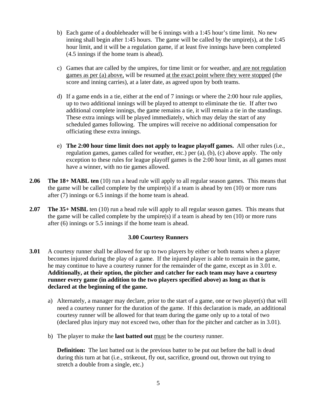- b) Each game of a doubleheader will be 6 innings with a 1:45 hour's time limit. No new inning shall begin after 1:45 hours. The game will be called by the umpire(s), at the 1:45 hour limit, and it will be a regulation game, if at least five innings have been completed (4.5 innings if the home team is ahead).
- c) Games that are called by the umpires, for time limit or for weather, and are not regulation games as per (a) above, will be resumed at the exact point where they were stopped (the score and inning carries), at a later date, as agreed upon by both teams.
- d) If a game ends in a tie, either at the end of 7 innings or where the 2:00 hour rule applies, up to two additional innings will be played to attempt to eliminate the tie. If after two additional complete innings, the game remains a tie, it will remain a tie in the standings. These extra innings will be played immediately, which may delay the start of any scheduled games following. The umpires will receive no additional compensation for officiating these extra innings.
- e) **The 2:00 hour time limit does not apply to league playoff games.** All other rules (i.e., regulation games, games called for weather, etc.) per (a), (b), (c) above apply. The only exception to these rules for league playoff games is the 2:00 hour limit, as all games must have a winner, with no tie games allowed.
- **2.06 The 18+ MABL ten** (10) run a head rule will apply to all regular season games. This means that the game will be called complete by the umpire(s) if a team is ahead by ten  $(10)$  or more runs after (7) innings or 6.5 innings if the home team is ahead.
- **2.07 The 35+ MSBL** ten (10) run a head rule will apply to all regular season games. This means that the game will be called complete by the umpire(s) if a team is ahead by ten  $(10)$  or more runs after (6) innings or 5.5 innings if the home team is ahead.

#### **3.00 Courtesy Runners**

- **3.01** A courtesy runner shall be allowed for up to two players by either or both teams when a player becomes injured during the play of a game. If the injured player is able to remain in the game, he may continue to have a courtesy runner for the remainder of the game, except as in 3.01 e. **Additionally, at their option, the pitcher and catcher for each team may have a courtesy runner every game (in addition to the two players specified above) as long as that is declared at the beginning of the game.** 
	- a) Alternately, a manager may declare, prior to the start of a game, one or two player(s) that will need a courtesy runner for the duration of the game. If this declaration is made, an additional courtesy runner will be allowed for that team during the game only up to a total of two (declared plus injury may not exceed two, other than for the pitcher and catcher as in 3.01).
	- b) The player to make the **last batted out** must be the courtesy runner.

**Definition:** The last batted out is the previous batter to be put out before the ball is dead during this turn at bat (i.e., strikeout, fly out, sacrifice, ground out, thrown out trying to stretch a double from a single, etc.)